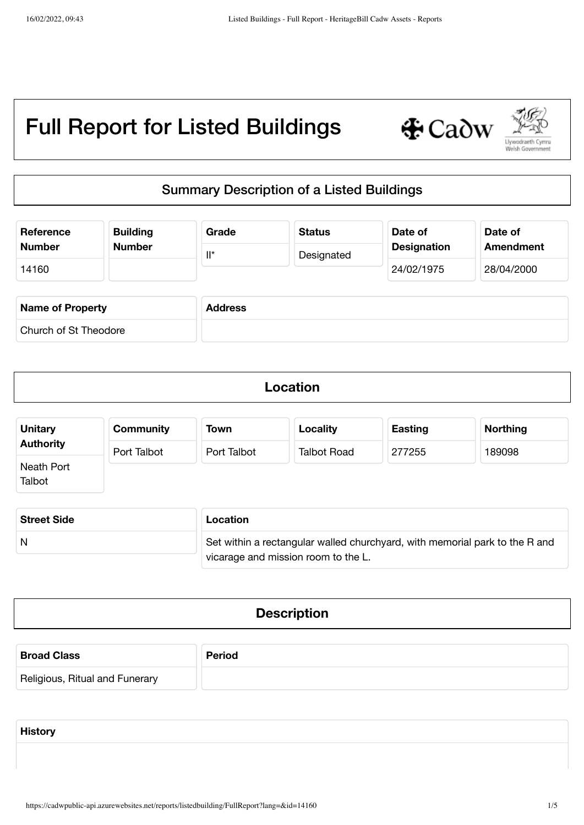

## Summary Description of a Listed Buildings

| <b>Building</b><br>Reference<br><b>Number</b><br><b>Number</b> |  | Grade<br>$\mathsf{II}^\star$ | <b>Status</b><br>Designated | Date of<br><b>Designation</b> | Date of<br><b>Amendment</b> |
|----------------------------------------------------------------|--|------------------------------|-----------------------------|-------------------------------|-----------------------------|
|                                                                |  |                              |                             |                               |                             |
| 14160                                                          |  |                              |                             | 24/02/1975                    | 28/04/2000                  |
|                                                                |  |                              |                             |                               |                             |
| <b>Name of Property</b>                                        |  | <b>Address</b>               |                             |                               |                             |
| Church of St Theodore                                          |  |                              |                             |                               |                             |

| Location |  |
|----------|--|
|          |  |

| <b>Unitary</b>       | <b>Community</b> | Town        | Locality           | <b>Easting</b> | <b>Northing</b> |
|----------------------|------------------|-------------|--------------------|----------------|-----------------|
| <b>Authority</b>     | Port Talbot      | Port Talbot | <b>Talbot Road</b> | 277255         | 189098          |
| Neath Port<br>Talbot |                  |             |                    |                |                 |

| <b>Street Side</b> | Location                                                                    |
|--------------------|-----------------------------------------------------------------------------|
| N                  | Set within a rectangular walled churchyard, with memorial park to the R and |
|                    | vicarage and mission room to the L.                                         |

| <b>Description</b> |
|--------------------|
|                    |

| <b>Broad Class</b>             | <b>Period</b> |
|--------------------------------|---------------|
| Religious, Ritual and Funerary |               |

**History**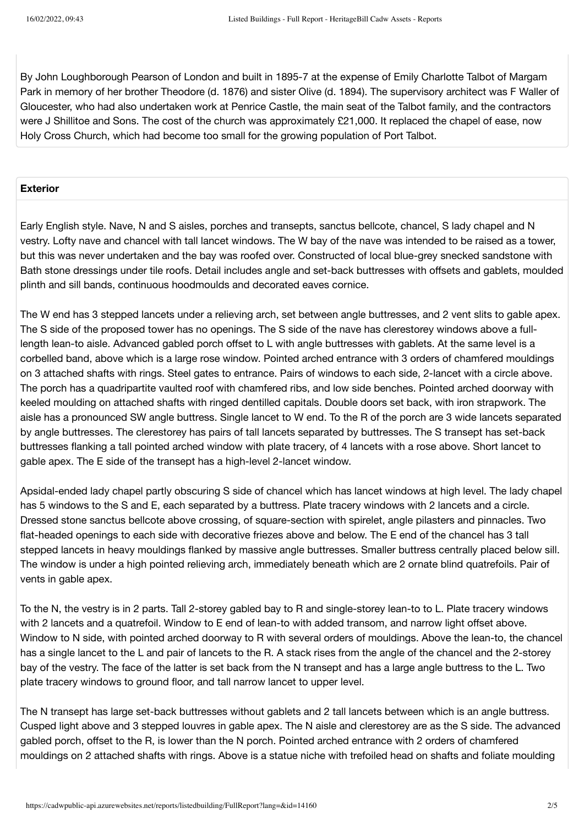By John Loughborough Pearson of London and built in 1895-7 at the expense of Emily Charlotte Talbot of Margam Park in memory of her brother Theodore (d. 1876) and sister Olive (d. 1894). The supervisory architect was F Waller of Gloucester, who had also undertaken work at Penrice Castle, the main seat of the Talbot family, and the contractors were J Shillitoe and Sons. The cost of the church was approximately £21,000. It replaced the chapel of ease, now Holy Cross Church, which had become too small for the growing population of Port Talbot.

## **Exterior**

Early English style. Nave, N and S aisles, porches and transepts, sanctus bellcote, chancel, S lady chapel and N vestry. Lofty nave and chancel with tall lancet windows. The W bay of the nave was intended to be raised as a tower, but this was never undertaken and the bay was roofed over. Constructed of local blue-grey snecked sandstone with Bath stone dressings under tile roofs. Detail includes angle and set-back buttresses with offsets and gablets, moulded plinth and sill bands, continuous hoodmoulds and decorated eaves cornice.

The W end has 3 stepped lancets under a relieving arch, set between angle buttresses, and 2 vent slits to gable apex. The S side of the proposed tower has no openings. The S side of the nave has clerestorey windows above a fulllength lean-to aisle. Advanced gabled porch offset to L with angle buttresses with gablets. At the same level is a corbelled band, above which is a large rose window. Pointed arched entrance with 3 orders of chamfered mouldings on 3 attached shafts with rings. Steel gates to entrance. Pairs of windows to each side, 2-lancet with a circle above. The porch has a quadripartite vaulted roof with chamfered ribs, and low side benches. Pointed arched doorway with keeled moulding on attached shafts with ringed dentilled capitals. Double doors set back, with iron strapwork. The aisle has a pronounced SW angle buttress. Single lancet to W end. To the R of the porch are 3 wide lancets separated by angle buttresses. The clerestorey has pairs of tall lancets separated by buttresses. The S transept has set-back buttresses flanking a tall pointed arched window with plate tracery, of 4 lancets with a rose above. Short lancet to gable apex. The E side of the transept has a high-level 2-lancet window.

Apsidal-ended lady chapel partly obscuring S side of chancel which has lancet windows at high level. The lady chapel has 5 windows to the S and E, each separated by a buttress. Plate tracery windows with 2 lancets and a circle. Dressed stone sanctus bellcote above crossing, of square-section with spirelet, angle pilasters and pinnacles. Two flat-headed openings to each side with decorative friezes above and below. The E end of the chancel has 3 tall stepped lancets in heavy mouldings flanked by massive angle buttresses. Smaller buttress centrally placed below sill. The window is under a high pointed relieving arch, immediately beneath which are 2 ornate blind quatrefoils. Pair of vents in gable apex.

To the N, the vestry is in 2 parts. Tall 2-storey gabled bay to R and single-storey lean-to to L. Plate tracery windows with 2 lancets and a quatrefoil. Window to E end of lean-to with added transom, and narrow light offset above. Window to N side, with pointed arched doorway to R with several orders of mouldings. Above the lean-to, the chancel has a single lancet to the L and pair of lancets to the R. A stack rises from the angle of the chancel and the 2-storey bay of the vestry. The face of the latter is set back from the N transept and has a large angle buttress to the L. Two plate tracery windows to ground floor, and tall narrow lancet to upper level.

The N transept has large set-back buttresses without gablets and 2 tall lancets between which is an angle buttress. Cusped light above and 3 stepped louvres in gable apex. The N aisle and clerestorey are as the S side. The advanced gabled porch, offset to the R, is lower than the N porch. Pointed arched entrance with 2 orders of chamfered mouldings on 2 attached shafts with rings. Above is a statue niche with trefoiled head on shafts and foliate moulding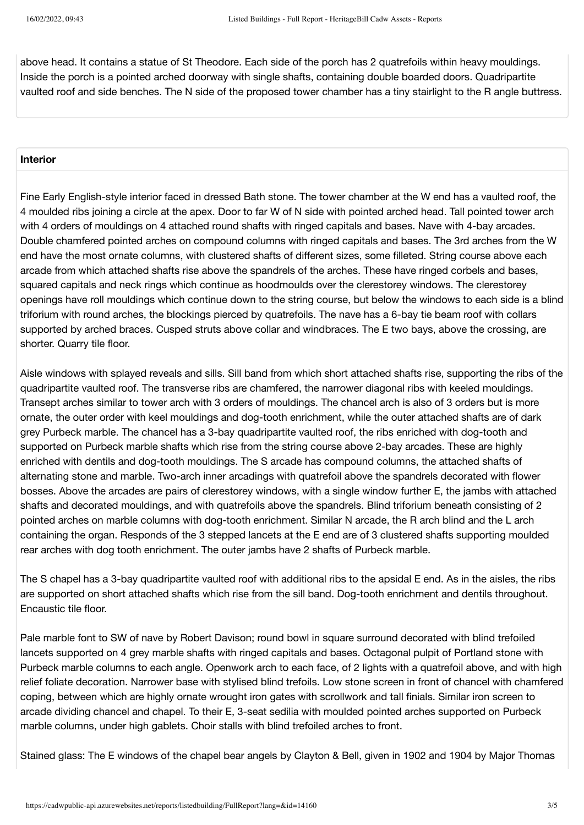above head. It contains a statue of St Theodore. Each side of the porch has 2 quatrefoils within heavy mouldings. Inside the porch is a pointed arched doorway with single shafts, containing double boarded doors. Quadripartite vaulted roof and side benches. The N side of the proposed tower chamber has a tiny stairlight to the R angle buttress.

## **Interior**

Fine Early English-style interior faced in dressed Bath stone. The tower chamber at the W end has a vaulted roof, the 4 moulded ribs joining a circle at the apex. Door to far W of N side with pointed arched head. Tall pointed tower arch with 4 orders of mouldings on 4 attached round shafts with ringed capitals and bases. Nave with 4-bay arcades. Double chamfered pointed arches on compound columns with ringed capitals and bases. The 3rd arches from the W end have the most ornate columns, with clustered shafts of different sizes, some filleted. String course above each arcade from which attached shafts rise above the spandrels of the arches. These have ringed corbels and bases, squared capitals and neck rings which continue as hoodmoulds over the clerestorey windows. The clerestorey openings have roll mouldings which continue down to the string course, but below the windows to each side is a blind triforium with round arches, the blockings pierced by quatrefoils. The nave has a 6-bay tie beam roof with collars supported by arched braces. Cusped struts above collar and windbraces. The E two bays, above the crossing, are shorter. Quarry tile floor.

Aisle windows with splayed reveals and sills. Sill band from which short attached shafts rise, supporting the ribs of the quadripartite vaulted roof. The transverse ribs are chamfered, the narrower diagonal ribs with keeled mouldings. Transept arches similar to tower arch with 3 orders of mouldings. The chancel arch is also of 3 orders but is more ornate, the outer order with keel mouldings and dog-tooth enrichment, while the outer attached shafts are of dark grey Purbeck marble. The chancel has a 3-bay quadripartite vaulted roof, the ribs enriched with dog-tooth and supported on Purbeck marble shafts which rise from the string course above 2-bay arcades. These are highly enriched with dentils and dog-tooth mouldings. The S arcade has compound columns, the attached shafts of alternating stone and marble. Two-arch inner arcadings with quatrefoil above the spandrels decorated with flower bosses. Above the arcades are pairs of clerestorey windows, with a single window further E, the jambs with attached shafts and decorated mouldings, and with quatrefoils above the spandrels. Blind triforium beneath consisting of 2 pointed arches on marble columns with dog-tooth enrichment. Similar N arcade, the R arch blind and the L arch containing the organ. Responds of the 3 stepped lancets at the E end are of 3 clustered shafts supporting moulded rear arches with dog tooth enrichment. The outer jambs have 2 shafts of Purbeck marble.

The S chapel has a 3-bay quadripartite vaulted roof with additional ribs to the apsidal E end. As in the aisles, the ribs are supported on short attached shafts which rise from the sill band. Dog-tooth enrichment and dentils throughout. Encaustic tile floor.

Pale marble font to SW of nave by Robert Davison; round bowl in square surround decorated with blind trefoiled lancets supported on 4 grey marble shafts with ringed capitals and bases. Octagonal pulpit of Portland stone with Purbeck marble columns to each angle. Openwork arch to each face, of 2 lights with a quatrefoil above, and with high relief foliate decoration. Narrower base with stylised blind trefoils. Low stone screen in front of chancel with chamfered coping, between which are highly ornate wrought iron gates with scrollwork and tall finials. Similar iron screen to arcade dividing chancel and chapel. To their E, 3-seat sedilia with moulded pointed arches supported on Purbeck marble columns, under high gablets. Choir stalls with blind trefoiled arches to front.

Stained glass: The E windows of the chapel bear angels by Clayton & Bell, given in 1902 and 1904 by Major Thomas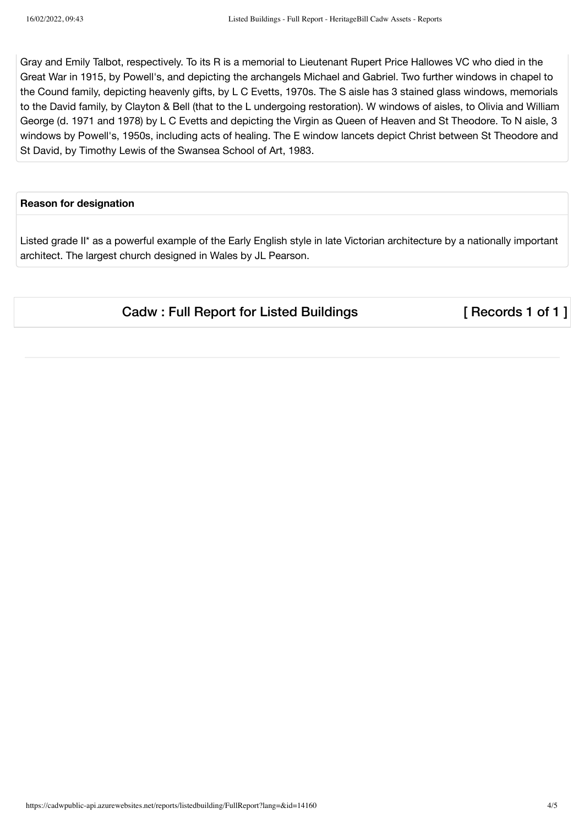Gray and Emily Talbot, respectively. To its R is a memorial to Lieutenant Rupert Price Hallowes VC who died in the Great War in 1915, by Powell's, and depicting the archangels Michael and Gabriel. Two further windows in chapel to the Cound family, depicting heavenly gifts, by L C Evetts, 1970s. The S aisle has 3 stained glass windows, memorials to the David family, by Clayton & Bell (that to the L undergoing restoration). W windows of aisles, to Olivia and William George (d. 1971 and 1978) by L C Evetts and depicting the Virgin as Queen of Heaven and St Theodore. To N aisle, 3 windows by Powell's, 1950s, including acts of healing. The E window lancets depict Christ between St Theodore and St David, by Timothy Lewis of the Swansea School of Art, 1983.

## **Reason for designation**

Listed grade II\* as a powerful example of the Early English style in late Victorian architecture by a nationally important architect. The largest church designed in Wales by JL Pearson.

Cadw : Full Report for Listed Buildings [ Records 1 of 1 ]